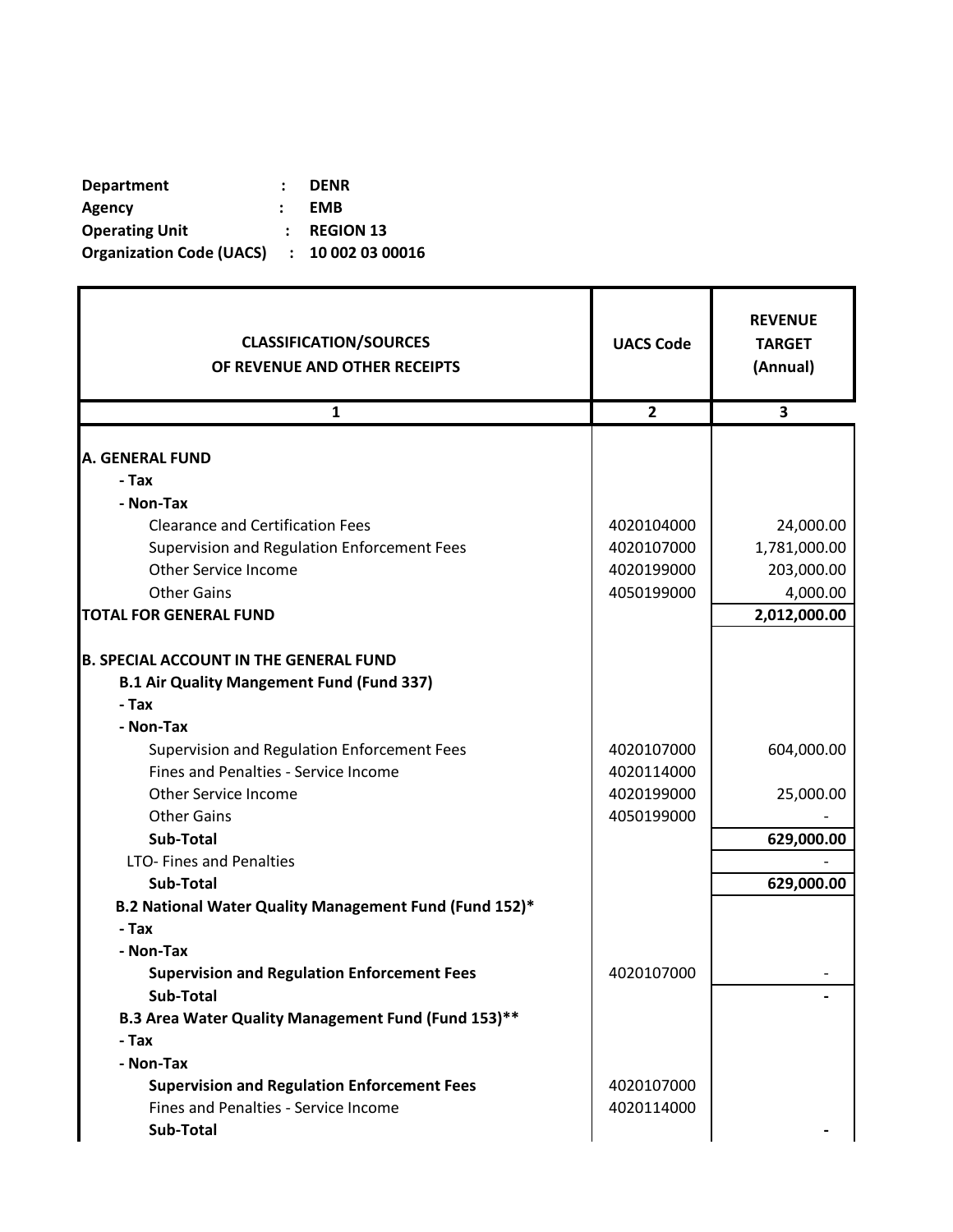| <b>Department</b>                          | <b>DENR</b>      |
|--------------------------------------------|------------------|
| Agency                                     | <b>EMB</b>       |
| <b>Operating Unit</b>                      | <b>REGION 13</b> |
| Organization Code (UACS) : 10 002 03 00016 |                  |

r

| <b>CLASSIFICATION/SOURCES</b><br>OF REVENUE AND OTHER RECEIPTS | <b>UACS Code</b> | <b>REVENUE</b><br><b>TARGET</b><br>(Annual) |
|----------------------------------------------------------------|------------------|---------------------------------------------|
| $\mathbf{1}$                                                   | $\overline{2}$   | 3                                           |
| <b>A. GENERAL FUND</b>                                         |                  |                                             |
| - Tax                                                          |                  |                                             |
| - Non-Tax                                                      |                  |                                             |
| <b>Clearance and Certification Fees</b>                        | 4020104000       | 24,000.00                                   |
| Supervision and Regulation Enforcement Fees                    | 4020107000       | 1,781,000.00                                |
| <b>Other Service Income</b>                                    | 4020199000       | 203,000.00                                  |
| <b>Other Gains</b>                                             | 4050199000       | 4,000.00                                    |
| <b>TOTAL FOR GENERAL FUND</b>                                  |                  | 2,012,000.00                                |
|                                                                |                  |                                             |
| <b>B. SPECIAL ACCOUNT IN THE GENERAL FUND</b>                  |                  |                                             |
| <b>B.1 Air Quality Mangement Fund (Fund 337)</b>               |                  |                                             |
| - Tax                                                          |                  |                                             |
| - Non-Tax                                                      |                  |                                             |
| Supervision and Regulation Enforcement Fees                    | 4020107000       | 604,000.00                                  |
| Fines and Penalties - Service Income                           | 4020114000       |                                             |
| <b>Other Service Income</b>                                    | 4020199000       | 25,000.00                                   |
| <b>Other Gains</b>                                             | 4050199000       |                                             |
| Sub-Total                                                      |                  | 629,000.00                                  |
| LTO- Fines and Penalties                                       |                  |                                             |
| <b>Sub-Total</b>                                               |                  | 629,000.00                                  |
| B.2 National Water Quality Management Fund (Fund 152)*         |                  |                                             |
| - Tax                                                          |                  |                                             |
| - Non-Tax                                                      |                  |                                             |
| <b>Supervision and Regulation Enforcement Fees</b>             | 4020107000       |                                             |
| Sub-Total                                                      |                  |                                             |
| B.3 Area Water Quality Management Fund (Fund 153)**            |                  |                                             |
| - Tax                                                          |                  |                                             |
| - Non-Tax                                                      |                  |                                             |
| <b>Supervision and Regulation Enforcement Fees</b>             | 4020107000       |                                             |
| Fines and Penalties - Service Income                           | 4020114000       |                                             |
| Sub-Total                                                      |                  |                                             |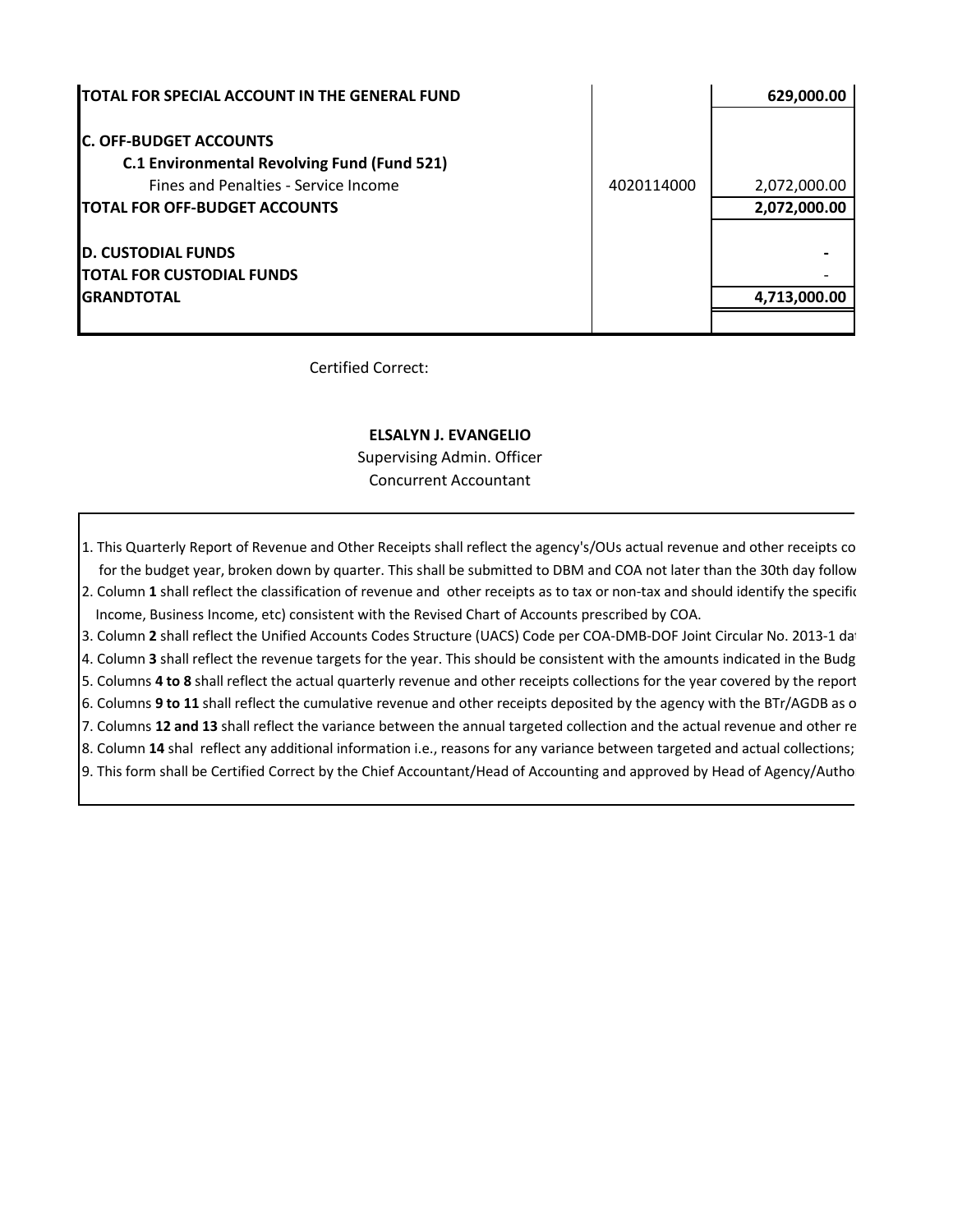| <b>TOTAL FOR SPECIAL ACCOUNT IN THE GENERAL FUND</b>                                |            | 629,000.00                   |
|-------------------------------------------------------------------------------------|------------|------------------------------|
| <b>C. OFF-BUDGET ACCOUNTS</b><br><b>C.1 Environmental Revolving Fund (Fund 521)</b> |            |                              |
| Fines and Penalties - Service Income<br><b>TOTAL FOR OFF-BUDGET ACCOUNTS</b>        | 4020114000 | 2,072,000.00<br>2,072,000.00 |
|                                                                                     |            |                              |
| <b>D. CUSTODIAL FUNDS</b><br><b>TOTAL FOR CUSTODIAL FUNDS</b>                       |            |                              |
| <b>GRANDTOTAL</b>                                                                   |            | 4,713,000.00                 |
|                                                                                     |            |                              |

Certified Correct:

## **ELSALYN J. EVANGELIO**

Supervising Admin. Officer Concurrent Accountant

1. This Quarterly Report of Revenue and Other Receipts shall reflect the agency's/OUs actual revenue and other receipts co for the budget year, broken down by quarter. This shall be submitted to DBM and COA not later than the 30th day follow 2. Column 1 shall reflect the classification of revenue and other receipts as to tax or non-tax and should identify the specific Income, Business Income, etc) consistent with the Revised Chart of Accounts prescribed by COA. 3. Column 2 shall reflect the Unified Accounts Codes Structure (UACS) Code per COA-DMB-DOF Joint Circular No. 2013-1 dat 4. Column 3 shall reflect the revenue targets for the year. This should be consistent with the amounts indicated in the Budg 5. Columns **4 to 8** shall reflect the actual quarterly revenue and other receipts collections for the year covered by the report. 6. Columns 9 to 11 shall reflect the cumulative revenue and other receipts deposited by the agency with the BTr/AGDB as o 7. Columns 12 and 13 shall reflect the variance between the annual targeted collection and the actual revenue and other re 8. Column 14 shal reflect any additional information i.e., reasons for any variance between targeted and actual collections;

9. This form shall be Certified Correct by the Chief Accountant/Head of Accounting and approved by Head of Agency/Authorized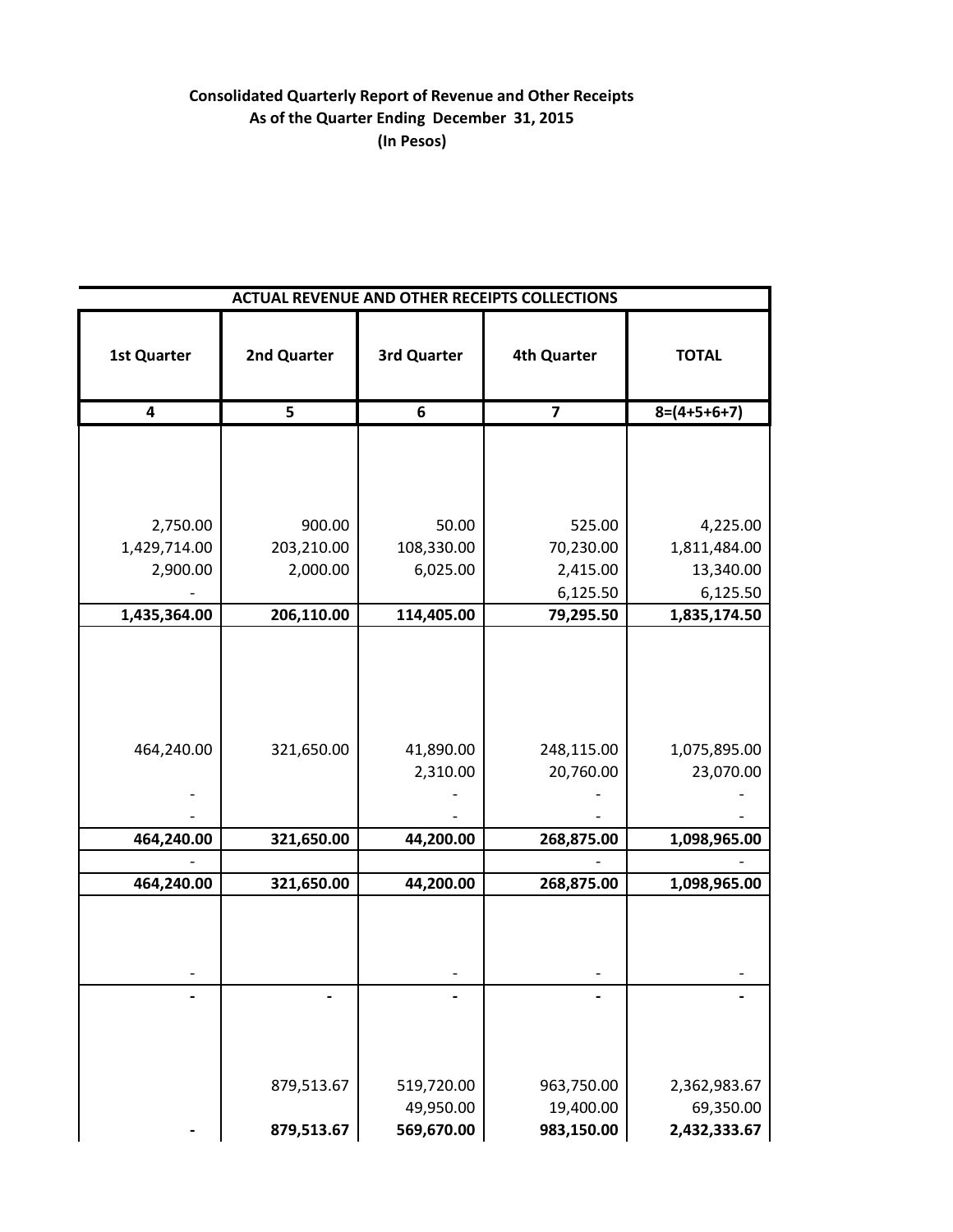## **Consolidated Quarterly Report of Revenue and Other Receipts As of the Quarter Ending December 31, 2015 (In Pesos)**

|                    |                         |                         | <b>ACTUAL REVENUE AND OTHER RECEIPTS COLLECTIONS</b> |                           |
|--------------------|-------------------------|-------------------------|------------------------------------------------------|---------------------------|
| <b>1st Quarter</b> | 2nd Quarter             | 3rd Quarter             | <b>4th Quarter</b>                                   | <b>TOTAL</b>              |
| 4                  | $\overline{\mathbf{5}}$ | 6                       | $\overline{\mathbf{z}}$                              | $8=(4+5+6+7)$             |
|                    |                         |                         |                                                      |                           |
| 2,750.00           | 900.00                  | 50.00                   | 525.00                                               | 4,225.00                  |
| 1,429,714.00       | 203,210.00              | 108,330.00              | 70,230.00                                            | 1,811,484.00              |
| 2,900.00           | 2,000.00                | 6,025.00                | 2,415.00                                             | 13,340.00                 |
|                    |                         |                         | 6,125.50                                             | 6,125.50                  |
| 1,435,364.00       | 206,110.00              | 114,405.00              | 79,295.50                                            | 1,835,174.50              |
| 464,240.00         | 321,650.00              | 41,890.00<br>2,310.00   | 248,115.00<br>20,760.00                              | 1,075,895.00<br>23,070.00 |
| 464,240.00         | 321,650.00              | 44,200.00               | 268,875.00                                           | 1,098,965.00              |
| 464,240.00         | 321,650.00              | 44,200.00               | 268,875.00                                           | 1,098,965.00              |
|                    |                         |                         |                                                      |                           |
|                    |                         |                         |                                                      |                           |
|                    | 879,513.67              | 519,720.00<br>49,950.00 | 963,750.00<br>19,400.00                              | 2,362,983.67<br>69,350.00 |
|                    | 879,513.67              | 569,670.00              | 983,150.00                                           | 2,432,333.67              |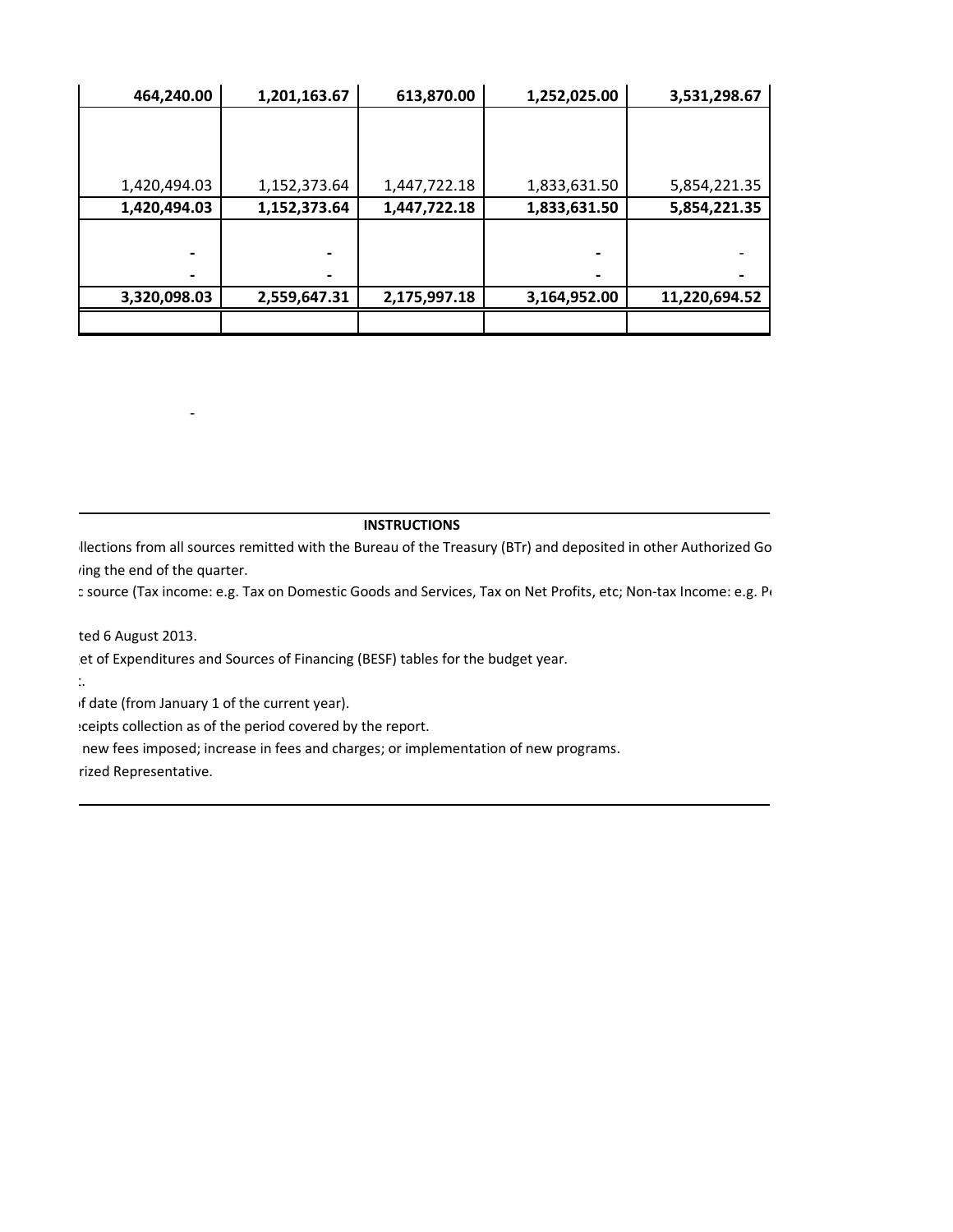| 464,240.00               | 1,201,163.67 | 613,870.00   | 1,252,025.00 | 3,531,298.67  |
|--------------------------|--------------|--------------|--------------|---------------|
|                          |              |              |              |               |
|                          |              |              |              |               |
|                          |              |              |              |               |
| 1,420,494.03             | 1,152,373.64 | 1,447,722.18 | 1,833,631.50 | 5,854,221.35  |
| 1,420,494.03             | 1,152,373.64 | 1,447,722.18 | 1,833,631.50 | 5,854,221.35  |
|                          |              |              |              |               |
| $\overline{\phantom{a}}$ |              |              |              |               |
|                          |              |              |              |               |
| 3,320,098.03             | 2,559,647.31 | 2,175,997.18 | 3,164,952.00 | 11,220,694.52 |
|                          |              |              |              |               |

## **INSTRUCTIONS**

llections from all sources remitted with the Bureau of the Treasury (BTr) and deposited in other Authorized Go ring the end of the quarter.

: source (Tax income: e.g. Tax on Domestic Goods and Services, Tax on Net Profits, etc; Non-tax Income: e.g. P

ted 6 August 2013.

- 1990 - 1990 - 1990 - 1990 - 1990 - 1990 - 1990 - 1990 - 1990 - 1990 - 1990 - 1990 - 1990 - 1990 - 1990 - 199<br>1991 - 1992 - 1992 - 1992 - 1992 - 1992 - 1992 - 1992 - 1992 - 1992 - 1992 - 1992 - 1992 - 1992 - 1992 - 1992

et of Expenditures and Sources of Financing (BESF) tables for the budget year.

5. Columns **4 to 8** shall reflect the actual quarterly revenue and other receipts collections for the year covered by the report.

of date (from January 1 of the current year).

: ceipts collection as of the period covered by the report.

new fees imposed; increase in fees and charges; or implementation of new programs.

rized Representative.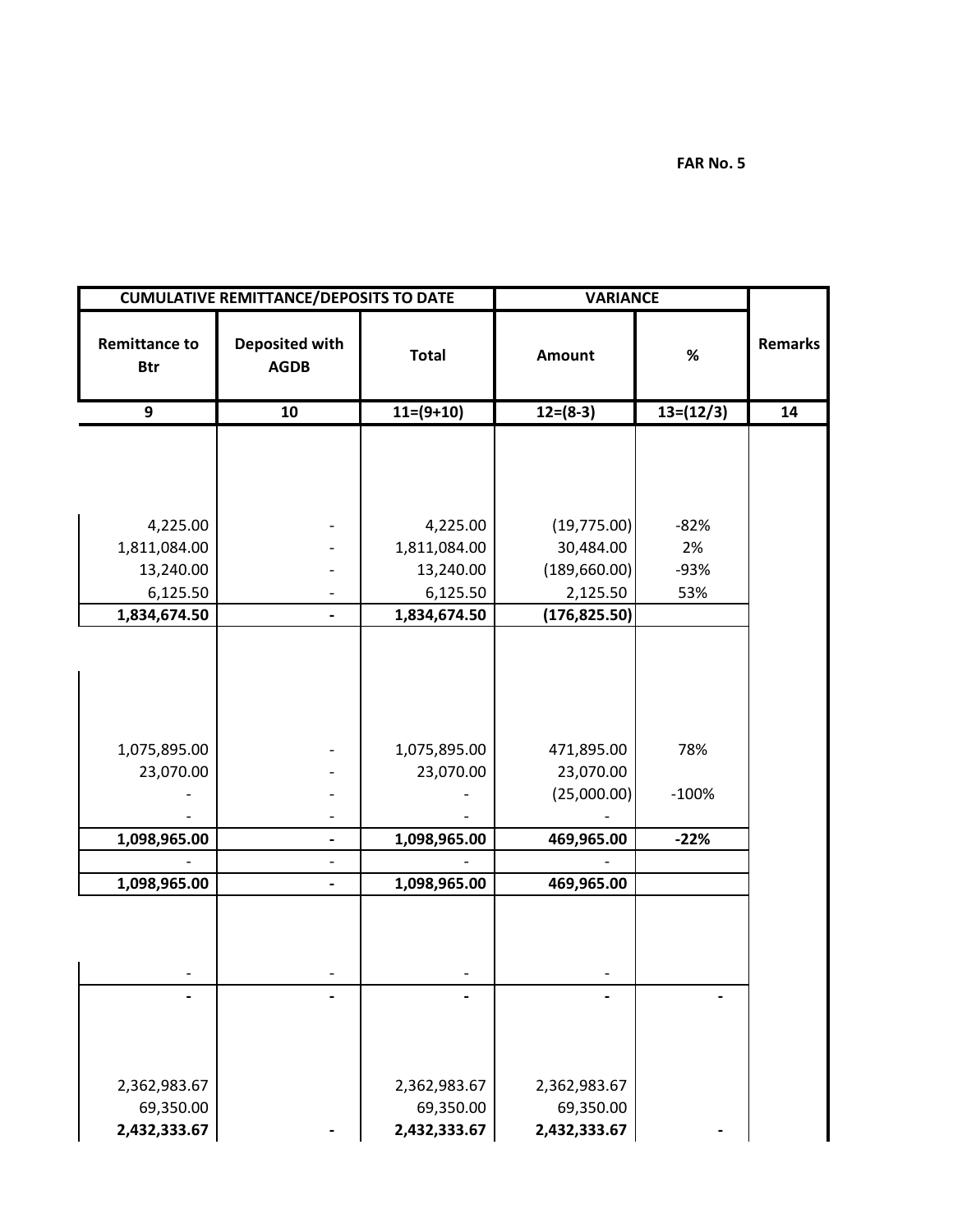**FAR No. 5**

|                                    | <b>CUMULATIVE REMITTANCE/DEPOSITS TO DATE</b> |              | <b>VARIANCE</b> |             |                |
|------------------------------------|-----------------------------------------------|--------------|-----------------|-------------|----------------|
| <b>Remittance to</b><br><b>Btr</b> | <b>Deposited with</b><br><b>AGDB</b>          | <b>Total</b> | Amount          | $\%$        | <b>Remarks</b> |
| 9                                  | 10                                            | $11=(9+10)$  | $12=(8-3)$      | $13=(12/3)$ | 14             |
|                                    |                                               |              |                 |             |                |
|                                    |                                               |              |                 |             |                |
|                                    |                                               |              |                 |             |                |
|                                    |                                               |              |                 |             |                |
| 4,225.00                           |                                               | 4,225.00     | (19, 775.00)    | $-82%$      |                |
| 1,811,084.00                       |                                               | 1,811,084.00 | 30,484.00       | 2%          |                |
| 13,240.00                          |                                               | 13,240.00    | (189, 660.00)   | $-93%$      |                |
| 6,125.50                           |                                               | 6,125.50     | 2,125.50        | 53%         |                |
| 1,834,674.50                       |                                               | 1,834,674.50 | (176, 825.50)   |             |                |
|                                    |                                               |              |                 |             |                |
|                                    |                                               |              |                 |             |                |
|                                    |                                               |              |                 |             |                |
|                                    |                                               |              |                 |             |                |
|                                    |                                               |              |                 |             |                |
| 1,075,895.00                       |                                               | 1,075,895.00 | 471,895.00      | 78%         |                |
| 23,070.00                          |                                               | 23,070.00    | 23,070.00       |             |                |
|                                    |                                               |              | (25,000.00)     | $-100%$     |                |
|                                    |                                               |              |                 |             |                |
| 1,098,965.00                       | $\overline{\phantom{0}}$                      | 1,098,965.00 | 469,965.00      | $-22%$      |                |
|                                    |                                               |              |                 |             |                |
| 1,098,965.00                       | $\overline{\phantom{0}}$                      | 1,098,965.00 | 469,965.00      |             |                |
|                                    |                                               |              |                 |             |                |
|                                    |                                               |              |                 |             |                |
|                                    |                                               |              |                 |             |                |
|                                    |                                               |              |                 |             |                |
|                                    |                                               |              |                 |             |                |
|                                    |                                               |              |                 |             |                |
|                                    |                                               |              |                 |             |                |
|                                    |                                               |              |                 |             |                |
| 2,362,983.67                       |                                               | 2,362,983.67 | 2,362,983.67    |             |                |
| 69,350.00                          |                                               | 69,350.00    | 69,350.00       |             |                |
| 2,432,333.67                       |                                               | 2,432,333.67 | 2,432,333.67    |             |                |